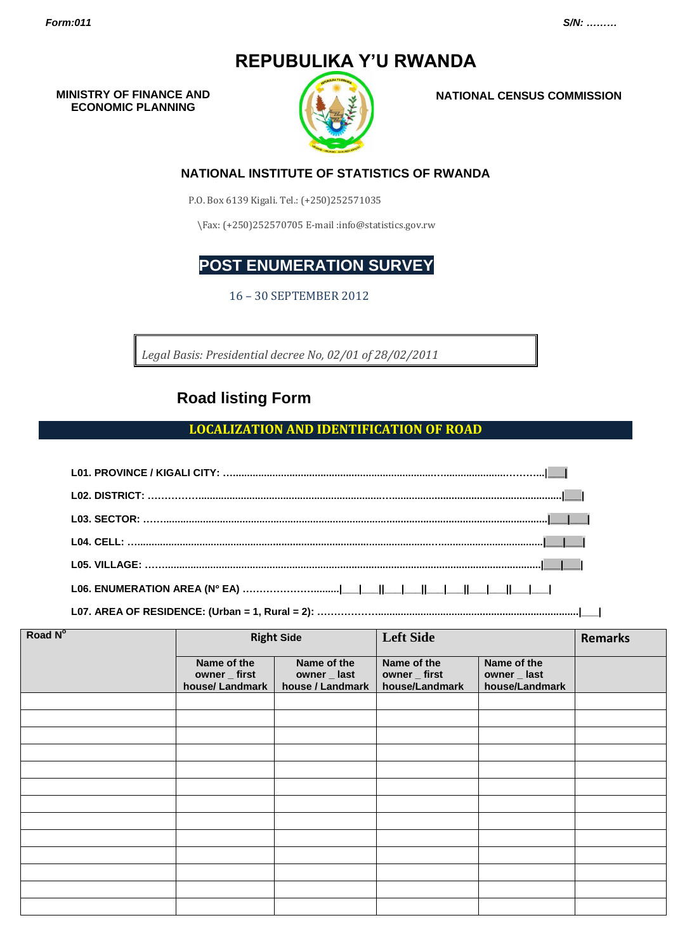# **REPUBULIKA Y'U RWANDA**

**MINISTRY OF FINANCE AND ECONOMIC PLANNING**



**NATIONAL CENSUS COMMISSION**

#### **NATIONAL INSTITUTE OF STATISTICS OF RWANDA**

P.O. Box 6139 Kigali. Tel.: (+250)252571035

\Fax: (+250)252570705 E-mail :info@statistics.gov.rw

### **POST ENUMERATION SURVEY**

16 – 30 SEPTEMBER 2012

*Legal Basis: Presidential decree No, 02/01 of 28/02/2011*

## **Road listing Form**

### **LOCALIZATION AND IDENTIFICATION OF ROAD**

| L06. ENUMERATION AREA (N° EA)  ___ ___  ___ ___  ___ ___  ___ ___ ___ |  |
|-----------------------------------------------------------------------|--|

**L07. AREA OF RESIDENCE: (Urban = 1, Rural = 2): ……………….......................................................................|\_\_\_|**

| Road N° | <b>Left Side</b><br><b>Right Side</b>           |                                                 |                                                | <b>Remarks</b>                                |  |
|---------|-------------------------------------------------|-------------------------------------------------|------------------------------------------------|-----------------------------------------------|--|
|         | Name of the<br>owner _ first<br>house/ Landmark | Name of the<br>owner _ last<br>house / Landmark | Name of the<br>owner _ first<br>house/Landmark | Name of the<br>owner _ last<br>house/Landmark |  |
|         |                                                 |                                                 |                                                |                                               |  |
|         |                                                 |                                                 |                                                |                                               |  |
|         |                                                 |                                                 |                                                |                                               |  |
|         |                                                 |                                                 |                                                |                                               |  |
|         |                                                 |                                                 |                                                |                                               |  |
|         |                                                 |                                                 |                                                |                                               |  |
|         |                                                 |                                                 |                                                |                                               |  |
|         |                                                 |                                                 |                                                |                                               |  |
|         |                                                 |                                                 |                                                |                                               |  |
|         |                                                 |                                                 |                                                |                                               |  |
|         |                                                 |                                                 |                                                |                                               |  |
|         |                                                 |                                                 |                                                |                                               |  |
|         |                                                 |                                                 |                                                |                                               |  |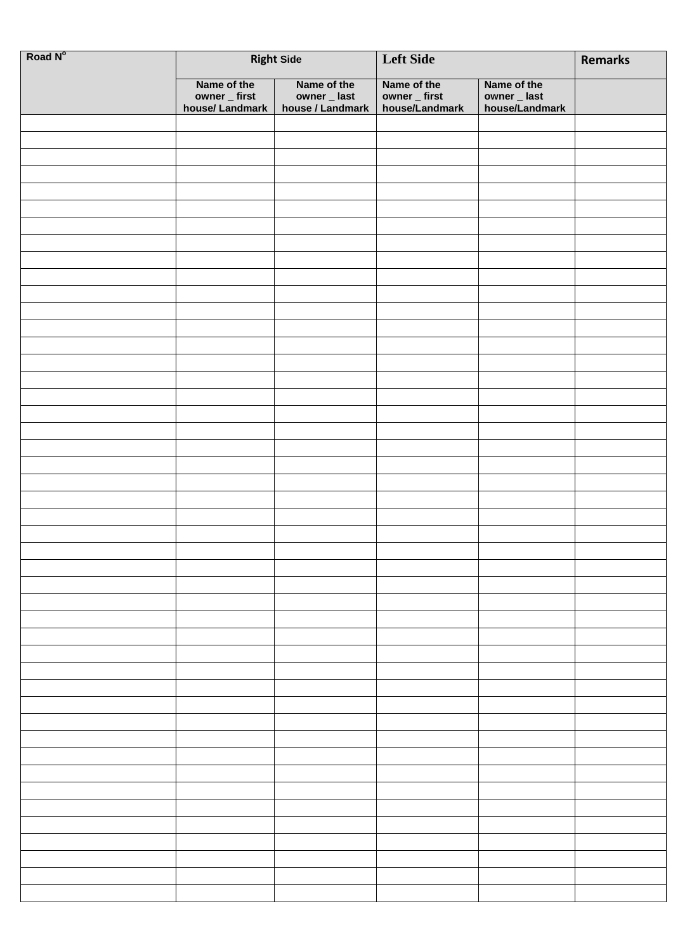| Road N° | <b>Right Side</b>                               |                                | <b>Left Side</b>                                  |                             | <b>Remarks</b> |
|---------|-------------------------------------------------|--------------------------------|---------------------------------------------------|-----------------------------|----------------|
|         | Name of the<br>owner _ first<br>house/ Landmark | Name of the<br>owner $\_$ last | Name of the<br>owner $\_$ first<br>house/Landmark | Name of the<br>owner _ last |                |
|         |                                                 | house / Landmark               |                                                   | house/Landmark              |                |
|         |                                                 |                                |                                                   |                             |                |
|         |                                                 |                                |                                                   |                             |                |
|         |                                                 |                                |                                                   |                             |                |
|         |                                                 |                                |                                                   |                             |                |
|         |                                                 |                                |                                                   |                             |                |
|         |                                                 |                                |                                                   |                             |                |
|         |                                                 |                                |                                                   |                             |                |
|         |                                                 |                                |                                                   |                             |                |
|         |                                                 |                                |                                                   |                             |                |
|         |                                                 |                                |                                                   |                             |                |
|         |                                                 |                                |                                                   |                             |                |
|         |                                                 |                                |                                                   |                             |                |
|         |                                                 |                                |                                                   |                             |                |
|         |                                                 |                                |                                                   |                             |                |
|         |                                                 |                                |                                                   |                             |                |
|         |                                                 |                                |                                                   |                             |                |
|         |                                                 |                                |                                                   |                             |                |
|         |                                                 |                                |                                                   |                             |                |
|         |                                                 |                                |                                                   |                             |                |
|         |                                                 |                                |                                                   |                             |                |
|         |                                                 |                                |                                                   |                             |                |
|         |                                                 |                                |                                                   |                             |                |
|         |                                                 |                                |                                                   |                             |                |
|         |                                                 |                                |                                                   |                             |                |
|         |                                                 |                                |                                                   |                             |                |
|         |                                                 |                                |                                                   |                             |                |
|         |                                                 |                                |                                                   |                             |                |
|         |                                                 |                                |                                                   |                             |                |
|         |                                                 |                                |                                                   |                             |                |
|         |                                                 |                                |                                                   |                             |                |
|         |                                                 |                                |                                                   |                             |                |
|         |                                                 |                                |                                                   |                             |                |
|         |                                                 |                                |                                                   |                             |                |
|         |                                                 |                                |                                                   |                             |                |
|         |                                                 |                                |                                                   |                             |                |
|         |                                                 |                                |                                                   |                             |                |
|         |                                                 |                                |                                                   |                             |                |
|         |                                                 |                                |                                                   |                             |                |
|         |                                                 |                                |                                                   |                             |                |
|         |                                                 |                                |                                                   |                             |                |
|         |                                                 |                                |                                                   |                             |                |
|         |                                                 |                                |                                                   |                             |                |
|         |                                                 |                                |                                                   |                             |                |
|         |                                                 |                                |                                                   |                             |                |
|         |                                                 |                                |                                                   |                             |                |